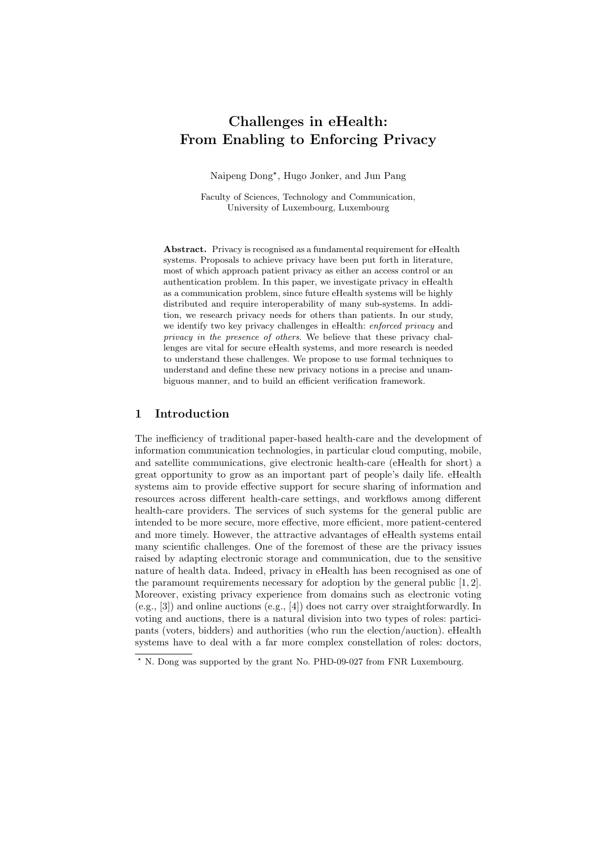# Challenges in eHealth: From Enabling to Enforcing Privacy

Naipeng Dong<sup>\*</sup>, Hugo Jonker, and Jun Pang

Faculty of Sciences, Technology and Communication, University of Luxembourg, Luxembourg

Abstract. Privacy is recognised as a fundamental requirement for eHealth systems. Proposals to achieve privacy have been put forth in literature, most of which approach patient privacy as either an access control or an authentication problem. In this paper, we investigate privacy in eHealth as a communication problem, since future eHealth systems will be highly distributed and require interoperability of many sub-systems. In addition, we research privacy needs for others than patients. In our study, we identify two key privacy challenges in eHealth: enforced privacy and privacy in the presence of others. We believe that these privacy challenges are vital for secure eHealth systems, and more research is needed to understand these challenges. We propose to use formal techniques to understand and define these new privacy notions in a precise and unambiguous manner, and to build an efficient verification framework.

# 1 Introduction

The inefficiency of traditional paper-based health-care and the development of information communication technologies, in particular cloud computing, mobile, and satellite communications, give electronic health-care (eHealth for short) a great opportunity to grow as an important part of people's daily life. eHealth systems aim to provide effective support for secure sharing of information and resources across different health-care settings, and workflows among different health-care providers. The services of such systems for the general public are intended to be more secure, more effective, more efficient, more patient-centered and more timely. However, the attractive advantages of eHealth systems entail many scientific challenges. One of the foremost of these are the privacy issues raised by adapting electronic storage and communication, due to the sensitive nature of health data. Indeed, privacy in eHealth has been recognised as one of the paramount requirements necessary for adoption by the general public  $[1, 2]$ . Moreover, existing privacy experience from domains such as electronic voting (e.g., [3]) and online auctions (e.g., [4]) does not carry over straightforwardly. In voting and auctions, there is a natural division into two types of roles: participants (voters, bidders) and authorities (who run the election/auction). eHealth systems have to deal with a far more complex constellation of roles: doctors,

<sup>⋆</sup> N. Dong was supported by the grant No. PHD-09-027 from FNR Luxembourg.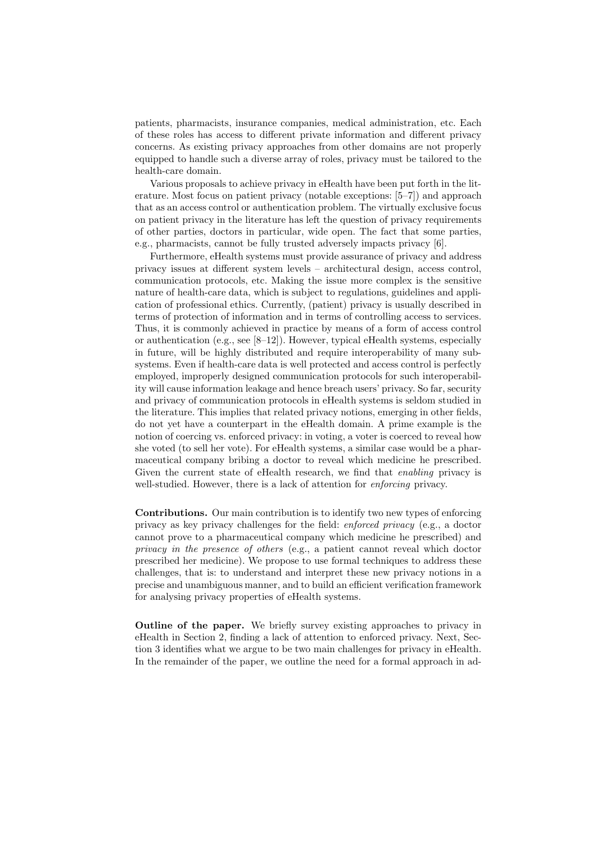patients, pharmacists, insurance companies, medical administration, etc. Each of these roles has access to different private information and different privacy concerns. As existing privacy approaches from other domains are not properly equipped to handle such a diverse array of roles, privacy must be tailored to the health-care domain.

Various proposals to achieve privacy in eHealth have been put forth in the literature. Most focus on patient privacy (notable exceptions: [5–7]) and approach that as an access control or authentication problem. The virtually exclusive focus on patient privacy in the literature has left the question of privacy requirements of other parties, doctors in particular, wide open. The fact that some parties, e.g., pharmacists, cannot be fully trusted adversely impacts privacy [6].

Furthermore, eHealth systems must provide assurance of privacy and address privacy issues at different system levels – architectural design, access control, communication protocols, etc. Making the issue more complex is the sensitive nature of health-care data, which is subject to regulations, guidelines and application of professional ethics. Currently, (patient) privacy is usually described in terms of protection of information and in terms of controlling access to services. Thus, it is commonly achieved in practice by means of a form of access control or authentication (e.g., see  $[8-12]$ ). However, typical eHealth systems, especially in future, will be highly distributed and require interoperability of many subsystems. Even if health-care data is well protected and access control is perfectly employed, improperly designed communication protocols for such interoperability will cause information leakage and hence breach users' privacy. So far, security and privacy of communication protocols in eHealth systems is seldom studied in the literature. This implies that related privacy notions, emerging in other fields, do not yet have a counterpart in the eHealth domain. A prime example is the notion of coercing vs. enforced privacy: in voting, a voter is coerced to reveal how she voted (to sell her vote). For eHealth systems, a similar case would be a pharmaceutical company bribing a doctor to reveal which medicine he prescribed. Given the current state of eHealth research, we find that *enabling* privacy is well-studied. However, there is a lack of attention for *enforcing* privacy.

Contributions. Our main contribution is to identify two new types of enforcing privacy as key privacy challenges for the field: enforced privacy (e.g., a doctor cannot prove to a pharmaceutical company which medicine he prescribed) and privacy in the presence of others (e.g., a patient cannot reveal which doctor prescribed her medicine). We propose to use formal techniques to address these challenges, that is: to understand and interpret these new privacy notions in a precise and unambiguous manner, and to build an efficient verification framework for analysing privacy properties of eHealth systems.

Outline of the paper. We briefly survey existing approaches to privacy in eHealth in Section 2, finding a lack of attention to enforced privacy. Next, Section 3 identifies what we argue to be two main challenges for privacy in eHealth. In the remainder of the paper, we outline the need for a formal approach in ad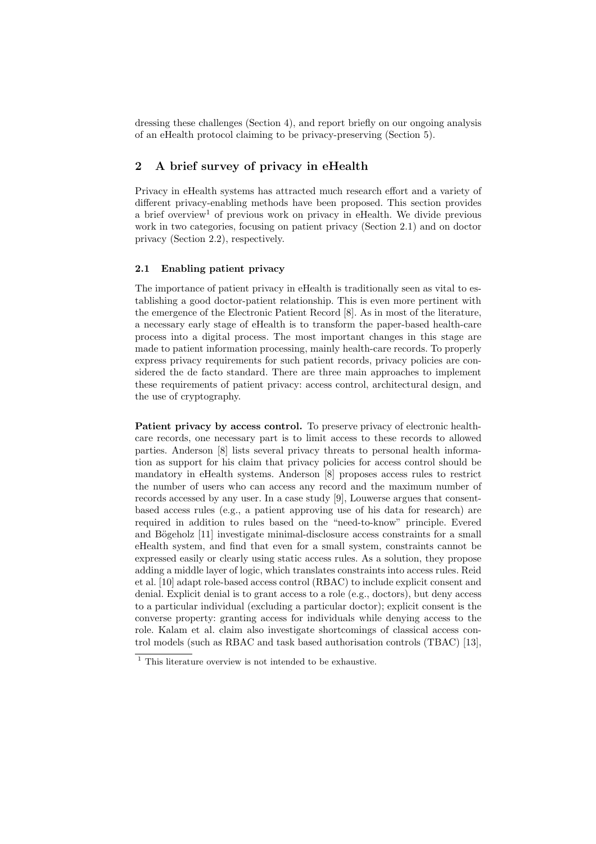dressing these challenges (Section 4), and report briefly on our ongoing analysis of an eHealth protocol claiming to be privacy-preserving (Section 5).

## 2 A brief survey of privacy in eHealth

Privacy in eHealth systems has attracted much research effort and a variety of different privacy-enabling methods have been proposed. This section provides a brief overview<sup>1</sup> of previous work on privacy in eHealth. We divide previous work in two categories, focusing on patient privacy (Section 2.1) and on doctor privacy (Section 2.2), respectively.

#### 2.1 Enabling patient privacy

The importance of patient privacy in eHealth is traditionally seen as vital to establishing a good doctor-patient relationship. This is even more pertinent with the emergence of the Electronic Patient Record [8]. As in most of the literature, a necessary early stage of eHealth is to transform the paper-based health-care process into a digital process. The most important changes in this stage are made to patient information processing, mainly health-care records. To properly express privacy requirements for such patient records, privacy policies are considered the de facto standard. There are three main approaches to implement these requirements of patient privacy: access control, architectural design, and the use of cryptography.

Patient privacy by access control. To preserve privacy of electronic healthcare records, one necessary part is to limit access to these records to allowed parties. Anderson [8] lists several privacy threats to personal health information as support for his claim that privacy policies for access control should be mandatory in eHealth systems. Anderson [8] proposes access rules to restrict the number of users who can access any record and the maximum number of records accessed by any user. In a case study [9], Louwerse argues that consentbased access rules (e.g., a patient approving use of his data for research) are required in addition to rules based on the "need-to-know" principle. Evered and Bögeholz [11] investigate minimal-disclosure access constraints for a small eHealth system, and find that even for a small system, constraints cannot be expressed easily or clearly using static access rules. As a solution, they propose adding a middle layer of logic, which translates constraints into access rules. Reid et al. [10] adapt role-based access control (RBAC) to include explicit consent and denial. Explicit denial is to grant access to a role (e.g., doctors), but deny access to a particular individual (excluding a particular doctor); explicit consent is the converse property: granting access for individuals while denying access to the role. Kalam et al. claim also investigate shortcomings of classical access control models (such as RBAC and task based authorisation controls (TBAC) [13],

<sup>&</sup>lt;sup>1</sup> This literature overview is not intended to be exhaustive.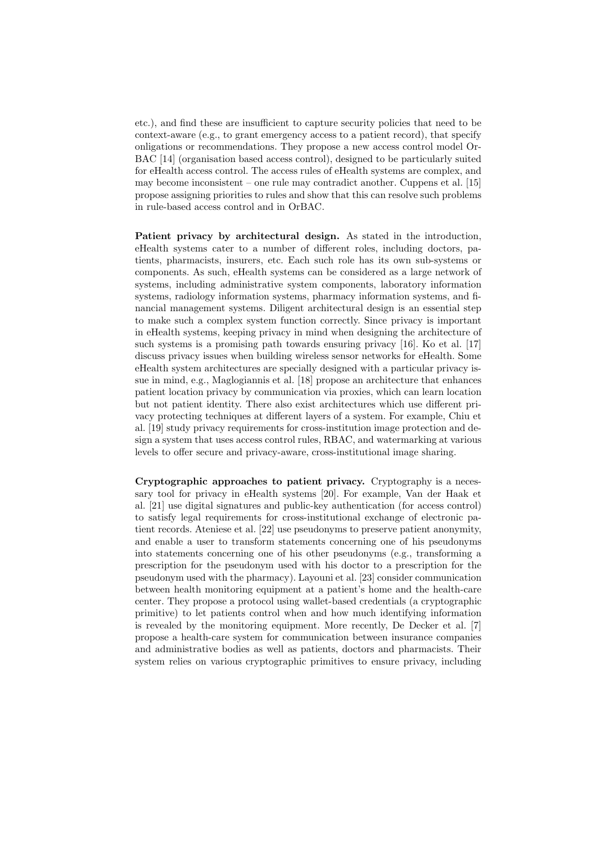etc.), and find these are insufficient to capture security policies that need to be context-aware (e.g., to grant emergency access to a patient record), that specify onligations or recommendations. They propose a new access control model Or-BAC [14] (organisation based access control), designed to be particularly suited for eHealth access control. The access rules of eHealth systems are complex, and may become inconsistent – one rule may contradict another. Cuppens et al. [15] propose assigning priorities to rules and show that this can resolve such problems in rule-based access control and in OrBAC.

Patient privacy by architectural design. As stated in the introduction, eHealth systems cater to a number of different roles, including doctors, patients, pharmacists, insurers, etc. Each such role has its own sub-systems or components. As such, eHealth systems can be considered as a large network of systems, including administrative system components, laboratory information systems, radiology information systems, pharmacy information systems, and financial management systems. Diligent architectural design is an essential step to make such a complex system function correctly. Since privacy is important in eHealth systems, keeping privacy in mind when designing the architecture of such systems is a promising path towards ensuring privacy [16]. Ko et al. [17] discuss privacy issues when building wireless sensor networks for eHealth. Some eHealth system architectures are specially designed with a particular privacy issue in mind, e.g., Maglogiannis et al. [18] propose an architecture that enhances patient location privacy by communication via proxies, which can learn location but not patient identity. There also exist architectures which use different privacy protecting techniques at different layers of a system. For example, Chiu et al. [19] study privacy requirements for cross-institution image protection and design a system that uses access control rules, RBAC, and watermarking at various levels to offer secure and privacy-aware, cross-institutional image sharing.

Cryptographic approaches to patient privacy. Cryptography is a necessary tool for privacy in eHealth systems [20]. For example, Van der Haak et al. [21] use digital signatures and public-key authentication (for access control) to satisfy legal requirements for cross-institutional exchange of electronic patient records. Ateniese et al. [22] use pseudonyms to preserve patient anonymity, and enable a user to transform statements concerning one of his pseudonyms into statements concerning one of his other pseudonyms (e.g., transforming a prescription for the pseudonym used with his doctor to a prescription for the pseudonym used with the pharmacy). Layouni et al. [23] consider communication between health monitoring equipment at a patient's home and the health-care center. They propose a protocol using wallet-based credentials (a cryptographic primitive) to let patients control when and how much identifying information is revealed by the monitoring equipment. More recently, De Decker et al. [7] propose a health-care system for communication between insurance companies and administrative bodies as well as patients, doctors and pharmacists. Their system relies on various cryptographic primitives to ensure privacy, including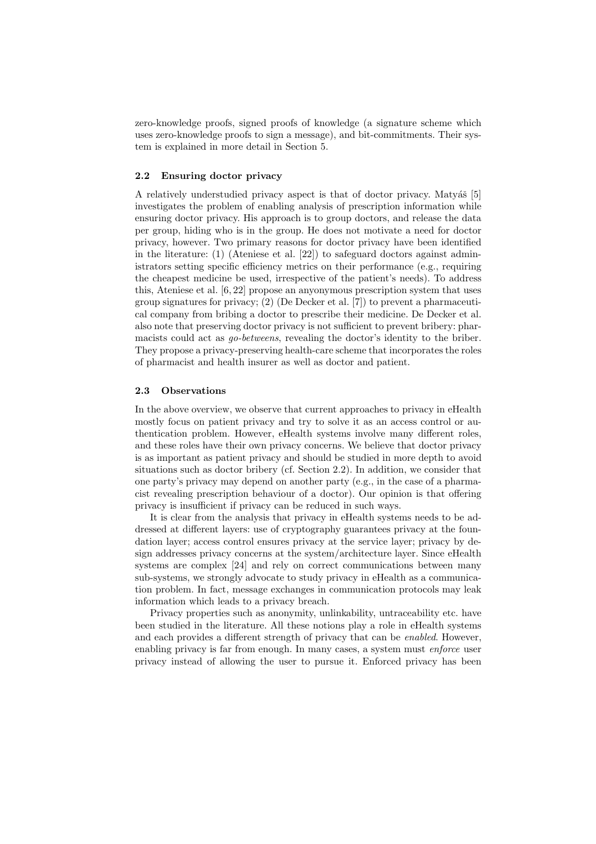zero-knowledge proofs, signed proofs of knowledge (a signature scheme which uses zero-knowledge proofs to sign a message), and bit-commitments. Their system is explained in more detail in Section 5.

#### 2.2 Ensuring doctor privacy

A relatively understudied privacy aspect is that of doctor privacy. Matyáš [5] investigates the problem of enabling analysis of prescription information while ensuring doctor privacy. His approach is to group doctors, and release the data per group, hiding who is in the group. He does not motivate a need for doctor privacy, however. Two primary reasons for doctor privacy have been identified in the literature: (1) (Ateniese et al. [22]) to safeguard doctors against administrators setting specific efficiency metrics on their performance (e.g., requiring the cheapest medicine be used, irrespective of the patient's needs). To address this, Ateniese et al. [6, 22] propose an anyonymous prescription system that uses group signatures for privacy; (2) (De Decker et al. [7]) to prevent a pharmaceutical company from bribing a doctor to prescribe their medicine. De Decker et al. also note that preserving doctor privacy is not sufficient to prevent bribery: pharmacists could act as go-betweens, revealing the doctor's identity to the briber. They propose a privacy-preserving health-care scheme that incorporates the roles of pharmacist and health insurer as well as doctor and patient.

#### 2.3 Observations

In the above overview, we observe that current approaches to privacy in eHealth mostly focus on patient privacy and try to solve it as an access control or authentication problem. However, eHealth systems involve many different roles, and these roles have their own privacy concerns. We believe that doctor privacy is as important as patient privacy and should be studied in more depth to avoid situations such as doctor bribery (cf. Section 2.2). In addition, we consider that one party's privacy may depend on another party (e.g., in the case of a pharmacist revealing prescription behaviour of a doctor). Our opinion is that offering privacy is insufficient if privacy can be reduced in such ways.

It is clear from the analysis that privacy in eHealth systems needs to be addressed at different layers: use of cryptography guarantees privacy at the foundation layer; access control ensures privacy at the service layer; privacy by design addresses privacy concerns at the system/architecture layer. Since eHealth systems are complex [24] and rely on correct communications between many sub-systems, we strongly advocate to study privacy in eHealth as a communication problem. In fact, message exchanges in communication protocols may leak information which leads to a privacy breach.

Privacy properties such as anonymity, unlinkability, untraceability etc. have been studied in the literature. All these notions play a role in eHealth systems and each provides a different strength of privacy that can be enabled. However, enabling privacy is far from enough. In many cases, a system must enforce user privacy instead of allowing the user to pursue it. Enforced privacy has been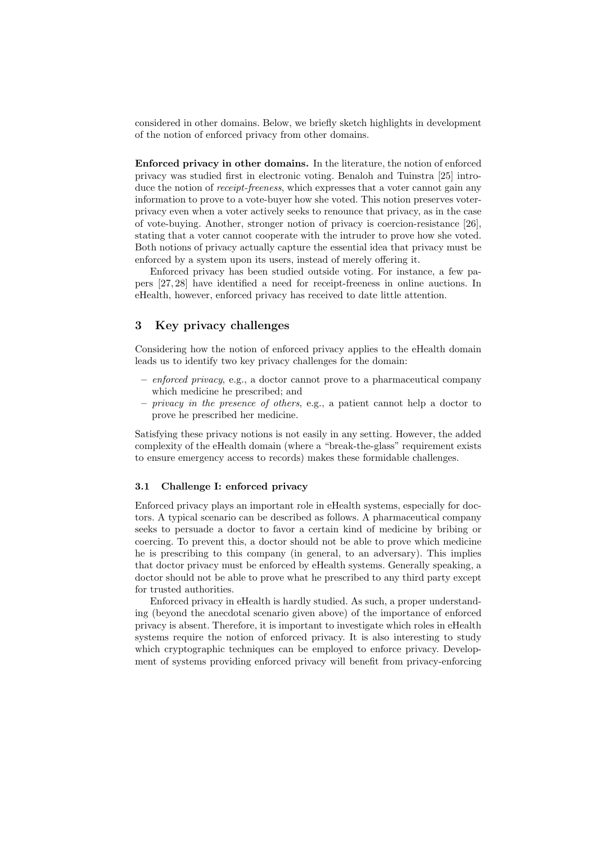considered in other domains. Below, we briefly sketch highlights in development of the notion of enforced privacy from other domains.

Enforced privacy in other domains. In the literature, the notion of enforced privacy was studied first in electronic voting. Benaloh and Tuinstra [25] introduce the notion of *receipt-freeness*, which expresses that a voter cannot gain any information to prove to a vote-buyer how she voted. This notion preserves voterprivacy even when a voter actively seeks to renounce that privacy, as in the case of vote-buying. Another, stronger notion of privacy is coercion-resistance [26], stating that a voter cannot cooperate with the intruder to prove how she voted. Both notions of privacy actually capture the essential idea that privacy must be enforced by a system upon its users, instead of merely offering it.

Enforced privacy has been studied outside voting. For instance, a few papers [27, 28] have identified a need for receipt-freeness in online auctions. In eHealth, however, enforced privacy has received to date little attention.

## 3 Key privacy challenges

Considering how the notion of enforced privacy applies to the eHealth domain leads us to identify two key privacy challenges for the domain:

- $-$  enforced privacy, e.g., a doctor cannot prove to a pharmaceutical company which medicine he prescribed; and
- privacy in the presence of others, e.g., a patient cannot help a doctor to prove he prescribed her medicine.

Satisfying these privacy notions is not easily in any setting. However, the added complexity of the eHealth domain (where a "break-the-glass" requirement exists to ensure emergency access to records) makes these formidable challenges.

### 3.1 Challenge I: enforced privacy

Enforced privacy plays an important role in eHealth systems, especially for doctors. A typical scenario can be described as follows. A pharmaceutical company seeks to persuade a doctor to favor a certain kind of medicine by bribing or coercing. To prevent this, a doctor should not be able to prove which medicine he is prescribing to this company (in general, to an adversary). This implies that doctor privacy must be enforced by eHealth systems. Generally speaking, a doctor should not be able to prove what he prescribed to any third party except for trusted authorities.

Enforced privacy in eHealth is hardly studied. As such, a proper understanding (beyond the anecdotal scenario given above) of the importance of enforced privacy is absent. Therefore, it is important to investigate which roles in eHealth systems require the notion of enforced privacy. It is also interesting to study which cryptographic techniques can be employed to enforce privacy. Development of systems providing enforced privacy will benefit from privacy-enforcing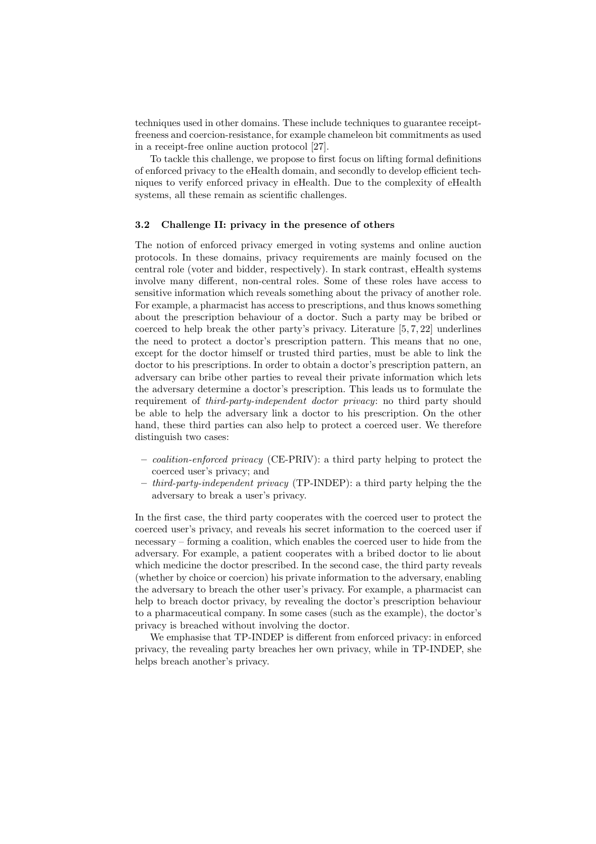techniques used in other domains. These include techniques to guarantee receiptfreeness and coercion-resistance, for example chameleon bit commitments as used in a receipt-free online auction protocol [27].

To tackle this challenge, we propose to first focus on lifting formal definitions of enforced privacy to the eHealth domain, and secondly to develop efficient techniques to verify enforced privacy in eHealth. Due to the complexity of eHealth systems, all these remain as scientific challenges.

#### 3.2 Challenge II: privacy in the presence of others

The notion of enforced privacy emerged in voting systems and online auction protocols. In these domains, privacy requirements are mainly focused on the central role (voter and bidder, respectively). In stark contrast, eHealth systems involve many different, non-central roles. Some of these roles have access to sensitive information which reveals something about the privacy of another role. For example, a pharmacist has access to prescriptions, and thus knows something about the prescription behaviour of a doctor. Such a party may be bribed or coerced to help break the other party's privacy. Literature [5, 7, 22] underlines the need to protect a doctor's prescription pattern. This means that no one, except for the doctor himself or trusted third parties, must be able to link the doctor to his prescriptions. In order to obtain a doctor's prescription pattern, an adversary can bribe other parties to reveal their private information which lets the adversary determine a doctor's prescription. This leads us to formulate the requirement of *third-party-independent doctor privacy*: no third party should be able to help the adversary link a doctor to his prescription. On the other hand, these third parties can also help to protect a coerced user. We therefore distinguish two cases:

- coalition-enforced privacy (CE-PRIV): a third party helping to protect the coerced user's privacy; and
- third-party-independent privacy (TP-INDEP): a third party helping the the adversary to break a user's privacy.

In the first case, the third party cooperates with the coerced user to protect the coerced user's privacy, and reveals his secret information to the coerced user if necessary – forming a coalition, which enables the coerced user to hide from the adversary. For example, a patient cooperates with a bribed doctor to lie about which medicine the doctor prescribed. In the second case, the third party reveals (whether by choice or coercion) his private information to the adversary, enabling the adversary to breach the other user's privacy. For example, a pharmacist can help to breach doctor privacy, by revealing the doctor's prescription behaviour to a pharmaceutical company. In some cases (such as the example), the doctor's privacy is breached without involving the doctor.

We emphasise that TP-INDEP is different from enforced privacy: in enforced privacy, the revealing party breaches her own privacy, while in TP-INDEP, she helps breach another's privacy.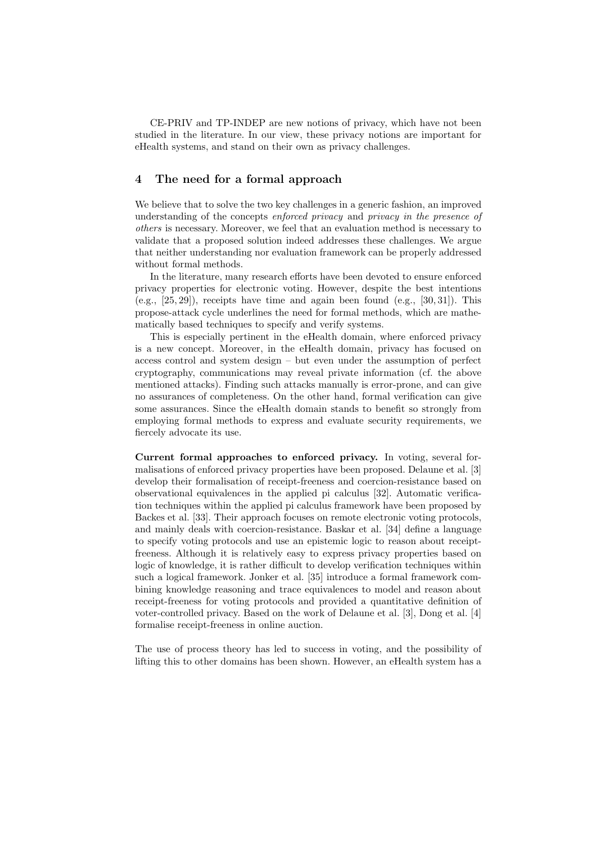CE-PRIV and TP-INDEP are new notions of privacy, which have not been studied in the literature. In our view, these privacy notions are important for eHealth systems, and stand on their own as privacy challenges.

#### 4 The need for a formal approach

We believe that to solve the two key challenges in a generic fashion, an improved understanding of the concepts enforced privacy and privacy in the presence of others is necessary. Moreover, we feel that an evaluation method is necessary to validate that a proposed solution indeed addresses these challenges. We argue that neither understanding nor evaluation framework can be properly addressed without formal methods.

In the literature, many research efforts have been devoted to ensure enforced privacy properties for electronic voting. However, despite the best intentions (e.g.,  $[25, 29]$ ), receipts have time and again been found (e.g.,  $[30, 31]$ ). This propose-attack cycle underlines the need for formal methods, which are mathematically based techniques to specify and verify systems.

This is especially pertinent in the eHealth domain, where enforced privacy is a new concept. Moreover, in the eHealth domain, privacy has focused on access control and system design – but even under the assumption of perfect cryptography, communications may reveal private information (cf. the above mentioned attacks). Finding such attacks manually is error-prone, and can give no assurances of completeness. On the other hand, formal verification can give some assurances. Since the eHealth domain stands to benefit so strongly from employing formal methods to express and evaluate security requirements, we fiercely advocate its use.

Current formal approaches to enforced privacy. In voting, several formalisations of enforced privacy properties have been proposed. Delaune et al. [3] develop their formalisation of receipt-freeness and coercion-resistance based on observational equivalences in the applied pi calculus [32]. Automatic verification techniques within the applied pi calculus framework have been proposed by Backes et al. [33]. Their approach focuses on remote electronic voting protocols, and mainly deals with coercion-resistance. Baskar et al. [34] define a language to specify voting protocols and use an epistemic logic to reason about receiptfreeness. Although it is relatively easy to express privacy properties based on logic of knowledge, it is rather difficult to develop verification techniques within such a logical framework. Jonker et al. [35] introduce a formal framework combining knowledge reasoning and trace equivalences to model and reason about receipt-freeness for voting protocols and provided a quantitative definition of voter-controlled privacy. Based on the work of Delaune et al. [3], Dong et al. [4] formalise receipt-freeness in online auction.

The use of process theory has led to success in voting, and the possibility of lifting this to other domains has been shown. However, an eHealth system has a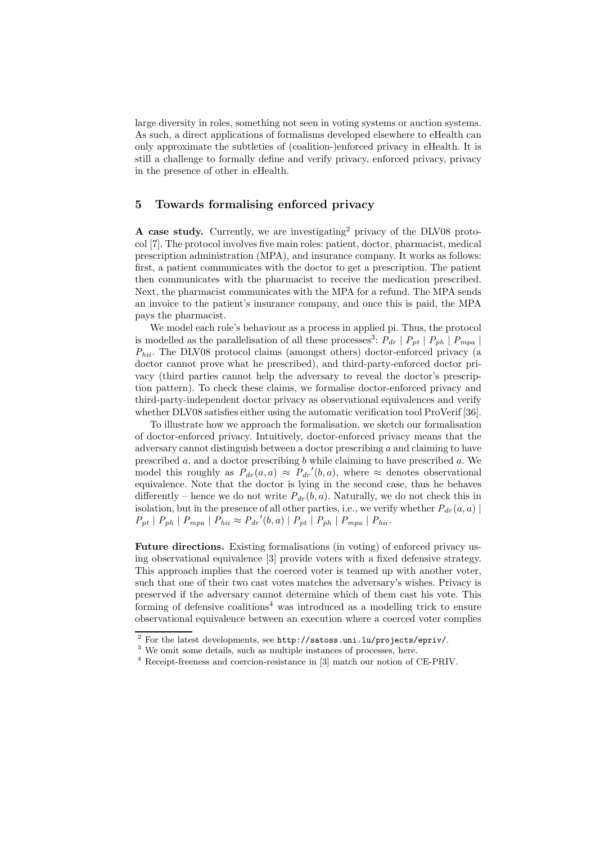large diversity in roles, something not seen in voting systems or auction systems. As such, a direct applications of formalisms developed elsewhere to eHealth can only approximate the subtleties of (coalition-)enforced privacy in eHealth. It is still a challenge to formally define and verify privacy, enforced privacy, privacy in the presence of other in eHealth.

## 5 Towards formalising enforced privacy

A case study. Currently, we are investigating<sup>2</sup> privacy of the DLV08 protocol [7]. The protocol involves five main roles: patient, doctor, pharmacist, medical prescription administration (MPA), and insurance company. It works as follows: first, a patient communicates with the doctor to get a prescription. The patient then communicates with the pharmacist to receive the medication prescribed. Next, the pharmacist communicates with the MPA for a refund. The MPA sends an invoice to the patient's insurance company, and once this is paid, the MPA pays the pharmacist.

We model each role's behaviour as a process in applied pi. Thus, the protocol is modelled as the parallelisation of all these processes<sup>3</sup>:  $P_{dr} | P_{pt} | P_{ph} | P_{mpa} |$  $P_{hii}$ . The DLV08 protocol claims (amongst others) doctor-enforced privacy (a doctor cannot prove what he prescribed), and third-party-enforced doctor privacy (third parties cannot help the adversary to reveal the doctor's prescription pattern). To check these claims, we formalise doctor-enforced privacy and third-party-independent doctor privacy as observational equivalences and verify whether DLV08 satisfies either using the automatic verification tool ProVerif [36].

To illustrate how we approach the formalisation, we sketch our formalisation of doctor-enforced privacy. Intuitively, doctor-enforced privacy means that the adversary cannot distinguish between a doctor prescribing  $a$  and claiming to have prescribed  $a$ , and a doctor prescribing  $b$  while claiming to have prescribed  $a$ . We model this roughly as  $P_{dr}(a, a) \approx P_{dr}'(b, a)$ , where  $\approx$  denotes observational equivalence. Note that the doctor is lying in the second case, thus he behaves differently – hence we do not write  $P_{dr}(b, a)$ . Naturally, we do not check this in isolation, but in the presence of all other parties, i.e., we verify whether  $P_{dr}(a, a)$  $P_{pt} \mid P_{ph} \mid P_{mpa} \mid P_{hii} \approx P_{dr}'(b,a) \mid P_{pt} \mid P_{ph} \mid P_{mpa} \mid P_{hii}.$ 

Future directions. Existing formalisations (in voting) of enforced privacy using observational equivalence [3] provide voters with a fixed defensive strategy. This approach implies that the coerced voter is teamed up with another voter, such that one of their two cast votes matches the adversary's wishes. Privacy is preserved if the adversary cannot determine which of them cast his vote. This forming of defensive coalitions<sup>4</sup> was introduced as a modelling trick to ensure observational equivalence between an execution where a coerced voter complies

<sup>2</sup> For the latest developments, see http://satoss.uni.lu/projects/epriv/.

<sup>3</sup> We omit some details, such as multiple instances of processes, here.

<sup>4</sup> Receipt-freeness and coercion-resistance in [3] match our notion of CE-PRIV.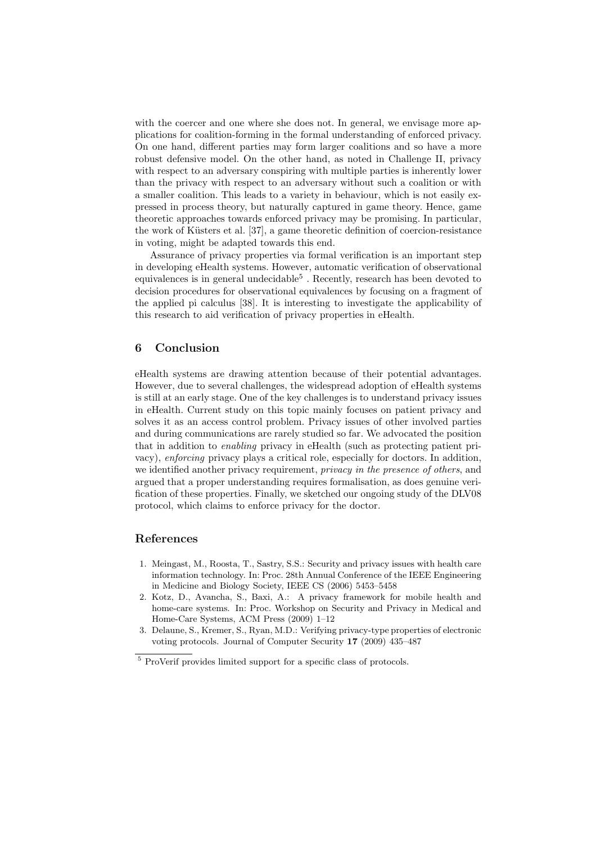with the coercer and one where she does not. In general, we envisage more applications for coalition-forming in the formal understanding of enforced privacy. On one hand, different parties may form larger coalitions and so have a more robust defensive model. On the other hand, as noted in Challenge II, privacy with respect to an adversary conspiring with multiple parties is inherently lower than the privacy with respect to an adversary without such a coalition or with a smaller coalition. This leads to a variety in behaviour, which is not easily expressed in process theory, but naturally captured in game theory. Hence, game theoretic approaches towards enforced privacy may be promising. In particular, the work of Küsters et al. [37], a game theoretic definition of coercion-resistance in voting, might be adapted towards this end.

Assurance of privacy properties via formal verification is an important step in developing eHealth systems. However, automatic verification of observational equivalences is in general undecidable<sup>5</sup>. Recently, research has been devoted to decision procedures for observational equivalences by focusing on a fragment of the applied pi calculus [38]. It is interesting to investigate the applicability of this research to aid verification of privacy properties in eHealth.

#### 6 Conclusion

eHealth systems are drawing attention because of their potential advantages. However, due to several challenges, the widespread adoption of eHealth systems is still at an early stage. One of the key challenges is to understand privacy issues in eHealth. Current study on this topic mainly focuses on patient privacy and solves it as an access control problem. Privacy issues of other involved parties and during communications are rarely studied so far. We advocated the position that in addition to enabling privacy in eHealth (such as protecting patient privacy), enforcing privacy plays a critical role, especially for doctors. In addition, we identified another privacy requirement, *privacy in the presence of others*, and argued that a proper understanding requires formalisation, as does genuine verification of these properties. Finally, we sketched our ongoing study of the DLV08 protocol, which claims to enforce privacy for the doctor.

## References

- 1. Meingast, M., Roosta, T., Sastry, S.S.: Security and privacy issues with health care information technology. In: Proc. 28th Annual Conference of the IEEE Engineering in Medicine and Biology Society, IEEE CS (2006) 5453–5458
- 2. Kotz, D., Avancha, S., Baxi, A.: A privacy framework for mobile health and home-care systems. In: Proc. Workshop on Security and Privacy in Medical and Home-Care Systems, ACM Press (2009) 1–12
- 3. Delaune, S., Kremer, S., Ryan, M.D.: Verifying privacy-type properties of electronic voting protocols. Journal of Computer Security 17 (2009) 435–487

 $\frac{5 \text{ ProVerify}}{2}$  Pro $\frac{5 \text{ Proving}}{2}$  is limited support for a specific class of protocols.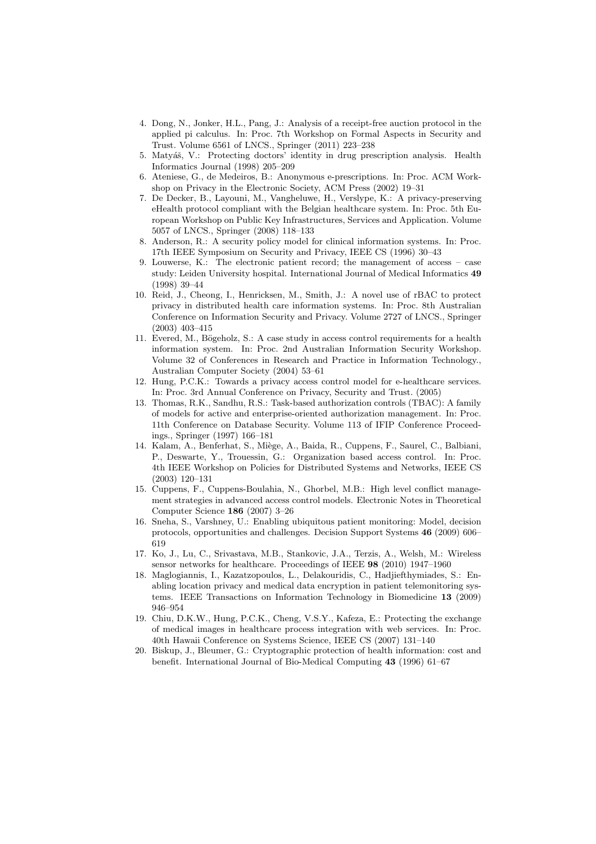- 4. Dong, N., Jonker, H.L., Pang, J.: Analysis of a receipt-free auction protocol in the applied pi calculus. In: Proc. 7th Workshop on Formal Aspects in Security and Trust. Volume 6561 of LNCS., Springer (2011) 223–238
- 5. Matyáš, V.: Protecting doctors' identity in drug prescription analysis. Health Informatics Journal (1998) 205–209
- 6. Ateniese, G., de Medeiros, B.: Anonymous e-prescriptions. In: Proc. ACM Workshop on Privacy in the Electronic Society, ACM Press (2002) 19–31
- 7. De Decker, B., Layouni, M., Vangheluwe, H., Verslype, K.: A privacy-preserving eHealth protocol compliant with the Belgian healthcare system. In: Proc. 5th European Workshop on Public Key Infrastructures, Services and Application. Volume 5057 of LNCS., Springer (2008) 118–133
- 8. Anderson, R.: A security policy model for clinical information systems. In: Proc. 17th IEEE Symposium on Security and Privacy, IEEE CS (1996) 30–43
- 9. Louwerse, K.: The electronic patient record; the management of access case study: Leiden University hospital. International Journal of Medical Informatics 49 (1998) 39–44
- 10. Reid, J., Cheong, I., Henricksen, M., Smith, J.: A novel use of rBAC to protect privacy in distributed health care information systems. In: Proc. 8th Australian Conference on Information Security and Privacy. Volume 2727 of LNCS., Springer (2003) 403–415
- 11. Evered, M., Bögeholz, S.: A case study in access control requirements for a health information system. In: Proc. 2nd Australian Information Security Workshop. Volume 32 of Conferences in Research and Practice in Information Technology., Australian Computer Society (2004) 53–61
- 12. Hung, P.C.K.: Towards a privacy access control model for e-healthcare services. In: Proc. 3rd Annual Conference on Privacy, Security and Trust. (2005)
- 13. Thomas, R.K., Sandhu, R.S.: Task-based authorization controls (TBAC): A family of models for active and enterprise-oriented authorization management. In: Proc. 11th Conference on Database Security. Volume 113 of IFIP Conference Proceedings., Springer (1997) 166–181
- 14. Kalam, A., Benferhat, S., Miège, A., Baida, R., Cuppens, F., Saurel, C., Balbiani, P., Deswarte, Y., Trouessin, G.: Organization based access control. In: Proc. 4th IEEE Workshop on Policies for Distributed Systems and Networks, IEEE CS (2003) 120–131
- 15. Cuppens, F., Cuppens-Boulahia, N., Ghorbel, M.B.: High level conflict management strategies in advanced access control models. Electronic Notes in Theoretical Computer Science 186 (2007) 3–26
- 16. Sneha, S., Varshney, U.: Enabling ubiquitous patient monitoring: Model, decision protocols, opportunities and challenges. Decision Support Systems 46 (2009) 606– 619
- 17. Ko, J., Lu, C., Srivastava, M.B., Stankovic, J.A., Terzis, A., Welsh, M.: Wireless sensor networks for healthcare. Proceedings of IEEE 98 (2010) 1947–1960
- 18. Maglogiannis, I., Kazatzopoulos, L., Delakouridis, C., Hadjiefthymiades, S.: Enabling location privacy and medical data encryption in patient telemonitoring systems. IEEE Transactions on Information Technology in Biomedicine 13 (2009) 946–954
- 19. Chiu, D.K.W., Hung, P.C.K., Cheng, V.S.Y., Kafeza, E.: Protecting the exchange of medical images in healthcare process integration with web services. In: Proc. 40th Hawaii Conference on Systems Science, IEEE CS (2007) 131–140
- 20. Biskup, J., Bleumer, G.: Cryptographic protection of health information: cost and benefit. International Journal of Bio-Medical Computing 43 (1996) 61–67